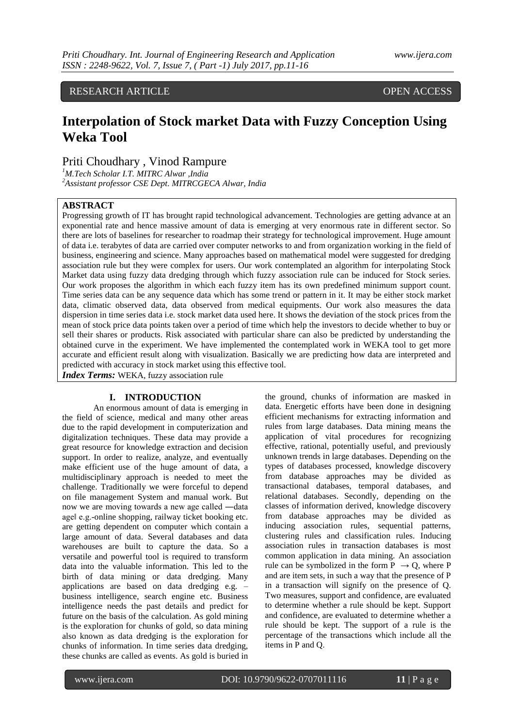RESEARCH ARTICLE OPEN ACCESS

# **Interpolation of Stock market Data with Fuzzy Conception Using Weka Tool**

Priti Choudhary , Vinod Rampure

*<sup>1</sup>M.Tech Scholar I.T. MITRC Alwar ,India <sup>2</sup>Assistant professor CSE Dept. MITRCGECA Alwar, India*

### **ABSTRACT**

Progressing growth of IT has brought rapid technological advancement. Technologies are getting advance at an exponential rate and hence massive amount of data is emerging at very enormous rate in different sector. So there are lots of baselines for researcher to roadmap their strategy for technological improvement. Huge amount of data i.e. terabytes of data are carried over computer networks to and from organization working in the field of business, engineering and science. Many approaches based on mathematical model were suggested for dredging association rule but they were complex for users. Our work contemplated an algorithm for interpolating Stock Market data using fuzzy data dredging through which fuzzy association rule can be induced for Stock series. Our work proposes the algorithm in which each fuzzy item has its own predefined minimum support count. Time series data can be any sequence data which has some trend or pattern in it. It may be either stock market data, climatic observed data, data observed from medical equipments. Our work also measures the data dispersion in time series data i.e. stock market data used here. It shows the deviation of the stock prices from the mean of stock price data points taken over a period of time which help the investors to decide whether to buy or sell their shares or products. Risk associated with particular share can also be predicted by understanding the obtained curve in the experiment. We have implemented the contemplated work in WEKA tool to get more accurate and efficient result along with visualization. Basically we are predicting how data are interpreted and predicted with accuracy in stock market using this effective tool.

*Index Terms:* WEKA, fuzzy association rule

### **I. INTRODUCTION**

An enormous amount of data is emerging in the field of science, medical and many other areas due to the rapid development in computerization and digitalization techniques. These data may provide a great resource for knowledge extraction and decision support. In order to realize, analyze, and eventually make efficient use of the huge amount of data, a multidisciplinary approach is needed to meet the challenge. Traditionally we were forceful to depend on file management System and manual work. But now we are moving towards a new age called ―data age‖ e.g.-online shopping, railway ticket booking etc. are getting dependent on computer which contain a large amount of data. Several databases and data warehouses are built to capture the data. So a versatile and powerful tool is required to transform data into the valuable information. This led to the birth of data mining or data dredging. Many applications are based on data dredging e.g. – business intelligence, search engine etc. Business intelligence needs the past details and predict for future on the basis of the calculation. As gold mining is the exploration for chunks of gold, so data mining also known as data dredging is the exploration for chunks of information. In time series data dredging, these chunks are called as events. As gold is buried in

the ground, chunks of information are masked in data. Energetic efforts have been done in designing efficient mechanisms for extracting information and rules from large databases. Data mining means the application of vital procedures for recognizing effective, rational, potentially useful, and previously unknown trends in large databases. Depending on the types of databases processed, knowledge discovery from database approaches may be divided as transactional databases, temporal databases, and relational databases. Secondly, depending on the classes of information derived, knowledge discovery from database approaches may be divided as inducing association rules, sequential patterns, clustering rules and classification rules. Inducing association rules in transaction databases is most common application in data mining. An association rule can be symbolized in the form  $P \rightarrow Q$ , where P and are item sets, in such a way that the presence of P in a transaction will signify on the presence of Q. Two measures, support and confidence, are evaluated to determine whether a rule should be kept. Support and confidence, are evaluated to determine whether a rule should be kept. The support of a rule is the percentage of the transactions which include all the items in P and Q.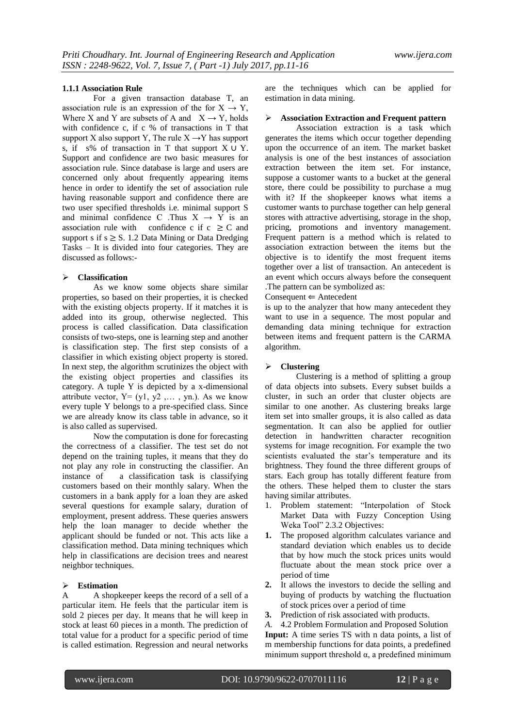### **1.1.1 Association Rule**

For a given transaction database T, an association rule is an expression of the for  $X \rightarrow Y$ , Where X and Y are subsets of A and  $X \rightarrow Y$ , holds with confidence c, if c % of transactions in T that support X also support Y, The rule  $X \rightarrow Y$  has support s, if s% of transaction in T that support  $X \cup Y$ . Support and confidence are two basic measures for association rule. Since database is large and users are concerned only about frequently appearing items hence in order to identify the set of association rule having reasonable support and confidence there are two user specified thresholds i.e. minimal support S and minimal confidence C .Thus  $X \rightarrow Y$  is an association rule with confidence c if  $c \geq C$  and support s if  $s \geq S$ . 1.2 Data Mining or Data Dredging Tasks – It is divided into four categories. They are discussed as follows:-

### **Classification**

As we know some objects share similar properties, so based on their properties, it is checked with the existing objects property. If it matches it is added into its group, otherwise neglected. This process is called classification. Data classification consists of two-steps, one is learning step and another is classification step. The first step consists of a classifier in which existing object property is stored. In next step, the algorithm scrutinizes the object with the existing object properties and classifies its category. A tuple Y is depicted by a x-dimensional attribute vector,  $Y = (y1, y2, \dots, yn)$ . As we know every tuple Y belongs to a pre-specified class. Since we are already know its class table in advance, so it is also called as supervised.

Now the computation is done for forecasting the correctness of a classifier. The test set do not depend on the training tuples, it means that they do not play any role in constructing the classifier. An instance of a classification task is classifying customers based on their monthly salary. When the customers in a bank apply for a loan they are asked several questions for example salary, duration of employment, present address. These queries answers help the loan manager to decide whether the applicant should be funded or not. This acts like a classification method. Data mining techniques which help in classifications are decision trees and nearest neighbor techniques.

### **Estimation**

A A shopkeeper keeps the record of a sell of a particular item. He feels that the particular item is sold 2 pieces per day. It means that he will keep in stock at least 60 pieces in a month. The prediction of total value for a product for a specific period of time is called estimation. Regression and neural networks

are the techniques which can be applied for estimation in data mining.

## **Association Extraction and Frequent pattern**

 Association extraction is a task which generates the items which occur together depending upon the occurrence of an item. The market basket analysis is one of the best instances of association extraction between the item set. For instance, suppose a customer wants to a bucket at the general store, there could be possibility to purchase a mug with it? If the shopkeeper knows what items a customer wants to purchase together can help general stores with attractive advertising, storage in the shop, pricing, promotions and inventory management. Frequent pattern is a method which is related to association extraction between the items but the objective is to identify the most frequent items together over a list of transaction. An antecedent is an event which occurs always before the consequent .The pattern can be symbolized as:

 $Consequent \Leftarrow Antecedent$ 

is up to the analyzer that how many antecedent they want to use in a sequence. The most popular and demanding data mining technique for extraction between items and frequent pattern is the CARMA algorithm.

### **Clustering**

Clustering is a method of splitting a group of data objects into subsets. Every subset builds a cluster, in such an order that cluster objects are similar to one another. As clustering breaks large item set into smaller groups, it is also called as data segmentation. It can also be applied for outlier detection in handwritten character recognition systems for image recognition. For example the two scientists evaluated the star's temperature and its brightness. They found the three different groups of stars. Each group has totally different feature from the others. These helped them to cluster the stars having similar attributes.

- 1. Problem statement: "Interpolation of Stock Market Data with Fuzzy Conception Using Weka Tool" 2.3.2 Objectives:
- **1.** The proposed algorithm calculates variance and standard deviation which enables us to decide that by how much the stock prices units would fluctuate about the mean stock price over a period of time
- **2.** It allows the investors to decide the selling and buying of products by watching the fluctuation of stock prices over a period of time
- **3.** Prediction of risk associated with products.

*A.* 4.2 Problem Formulation and Proposed Solution **Input:** A time series TS with n data points, a list of m membership functions for data points, a predefined minimum support threshold  $\alpha$ , a predefined minimum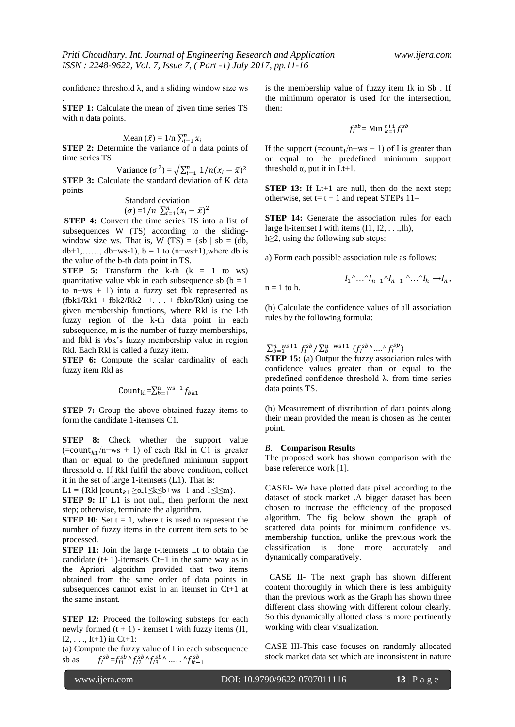confidence threshold  $\lambda$ , and a sliding window size ws

.

**STEP 1:** Calculate the mean of given time series TS with n data points.

Mean 
$$
(\bar{x}) = 1/n \sum_{i=1}^{n} x_i
$$

**STEP 2:** Determine the variance of n data points of time series TS

Variance  $(\sigma^2) = \sqrt{\sum_{i=1}^n \sigma_i^2}$ **STEP 3:** Calculate the standard deviation of K data points

### Standard deviation

$$
(\sigma) = 1/n \sum_{i=1}^{n} (x_i - \bar{x})^2
$$

**STEP 4:** Convert the time series TS into a list of subsequences W (TS) according to the slidingwindow size ws. That is, W (TS) = {sb | sb = (db, db+1,……, db+ws-1), b = 1 to (n–ws+1),where db is the value of the b-th data point in TS.

**STEP 5:** Transform the k-th  $(k = 1$  to ws) quantitative value vbk in each subsequence sb  $(b = 1)$ to n−ws + 1) into a fuzzy set fbk represented as  $(fbk1/Rk1 + fbk2/Rk2 + ... + fbkn/Rkn)$  using the given membership functions, where Rkl is the l-th fuzzy region of the k-th data point in each subsequence, m is the number of fuzzy memberships, and fbkl is *v*bk's fuzzy membership value in region Rkl. Each Rkl is called a fuzzy item.

**STEP 6:** Compute the scalar cardinality of each fuzzy item Rkl as

Count<sub>kl</sub>=
$$
\sum_{b=1}^{n
$$
 -ws+1  $f_{bk1}$ 

**STEP 7:** Group the above obtained fuzzy items to form the candidate 1-itemsets C1.

**STEP 8:** Check whether the support value  $($ =count<sub>k1</sub>/n–ws + 1) of each Rkl in C1 is greater than or equal to the predefined minimum support threshold α. If Rkl fulfil the above condition, collect it in the set of large 1-itemsets (L1). That is:

L1 = {Rkl  $|count_{k1} \ge \alpha, 1 \le k \le b+ws-1$  and  $1 \le l \le m$ }.

**STEP 9:** IF L1 is not null, then perform the next step; otherwise, terminate the algorithm.

**STEP 10:** Set  $t = 1$ , where t is used to represent the number of fuzzy items in the current item sets to be processed.

**STEP 11:** Join the large t-itemsets Lt to obtain the candidate  $(t+ 1)$ -itemsets  $Ct+1$  in the same way as in the Apriori algorithm provided that two items obtained from the same order of data points in subsequences cannot exist in an itemset in Ct+1 at the same instant.

**STEP 12:** Proceed the following substeps for each newly formed  $(t + 1)$  - itemset I with fuzzy items (I1,  $I2, \ldots, It+1)$  in Ct+1:

(a) Compute the fuzzy value of I in each subsequence sb as  ${}^{sb} = f_{I1}^{sb} \wedge f_{I2}^{sb} \wedge f_{I3}^{sb} \wedge \dots \wedge f_{It}^{sb}$ 

is the membership value of fuzzy item Ik in Sb . If the minimum operator is used for the intersection, then:

$$
f_I^{sb} = \text{Min}_{k=1}^{t+1} f_I^{sb}
$$

If the support  $(=count_1/n$ —ws + 1) of I is greater than or equal to the predefined minimum support threshold  $\alpha$ , put it in Lt+1.

**STEP 13:** If Lt+1 are null, then do the next step; otherwise, set  $t = t + 1$  and repeat STEPs 11–

**STEP 14:** Generate the association rules for each large h-itemset I with items (I1, I2, . . .,Ih), h≥2, using the following sub steps:

a) Form each possible association rule as follows:

$$
I_1 \wedge \ldots \wedge I_{n-1} \wedge I_{n+1} \wedge \ldots \wedge I_h \to I_n,
$$

(b) Calculate the confidence values of all association rules by the following formula:

 $\sum_{b=1}^{n-ws+1} f_l^{sb} / \sum_{b}^{n-ws+1} (f_l^{sb} \wedge ... \wedge f_l^{s})$ 

**STEP 15:** (a) Output the fuzzy association rules with confidence values greater than or equal to the predefined confidence threshold λ. from time series data points TS.

(b) Measurement of distribution of data points along their mean provided the mean is chosen as the center point.

### *B.* **Comparison Results**

 $n = 1$  to h.

The proposed work has shown comparison with the base reference work [1].

CASEI- We have plotted data pixel according to the dataset of stock market .A bigger dataset has been chosen to increase the efficiency of the proposed algorithm. The fig below shown the graph of scattered data points for minimum confidence vs. membership function, unlike the previous work the classification is done more accurately and dynamically comparatively.

 CASE II- The next graph has shown different content thoroughly in which there is less ambiguity than the previous work as the Graph has shown three different class showing with different colour clearly. So this dynamically allotted class is more pertinently working with clear visualization.

CASE III-This case focuses on randomly allocated stock market data set which are inconsistent in nature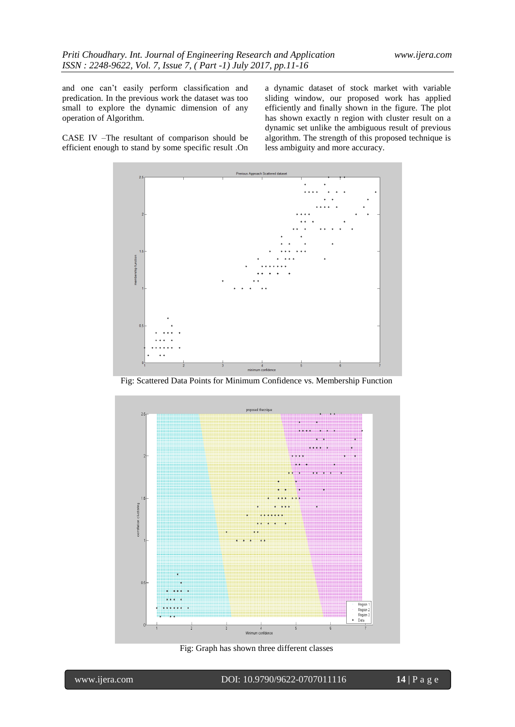and one can't easily perform classification and predication. In the previous work the dataset was too small to explore the dynamic dimension of any operation of Algorithm.

CASE IV –The resultant of comparison should be efficient enough to stand by some specific result .On a dynamic dataset of stock market with variable sliding window, our proposed work has applied efficiently and finally shown in the figure. The plot has shown exactly n region with cluster result on a dynamic set unlike the ambiguous result of previous algorithm. The strength of this proposed technique is less ambiguity and more accuracy.



Fig: Scattered Data Points for Minimum Confidence vs. Membership Function



Fig: Graph has shown three different classes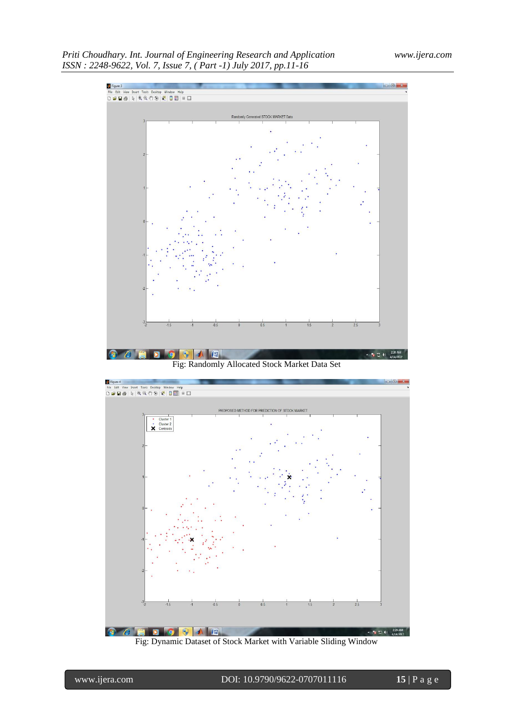



Fig: Dynamic Dataset of Stock Market with Variable Sliding Window